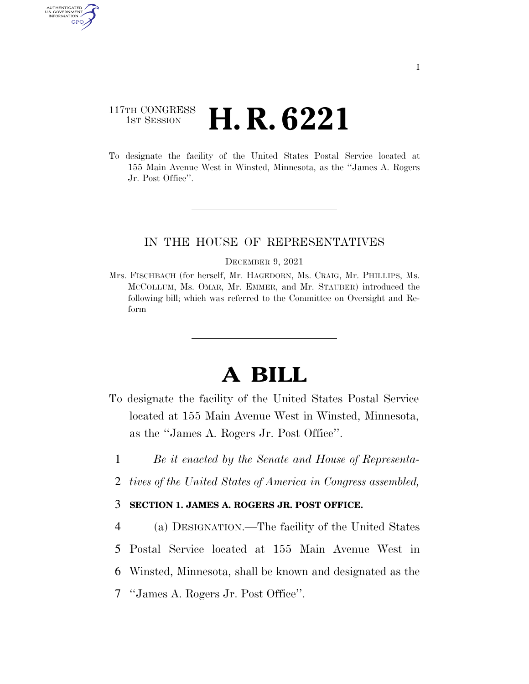## 117TH CONGRESS **1st Session H. R. 6221**

AUTHENTICATED U.S. GOVERNMENT GPO

> To designate the facility of the United States Postal Service located at 155 Main Avenue West in Winsted, Minnesota, as the ''James A. Rogers Jr. Post Office''.

## IN THE HOUSE OF REPRESENTATIVES

## DECEMBER 9, 2021

Mrs. FISCHBACH (for herself, Mr. HAGEDORN, Ms. CRAIG, Mr. PHILLIPS, Ms. MCCOLLUM, Ms. OMAR, Mr. EMMER, and Mr. STAUBER) introduced the following bill; which was referred to the Committee on Oversight and Reform

## **A BILL**

- To designate the facility of the United States Postal Service located at 155 Main Avenue West in Winsted, Minnesota, as the ''James A. Rogers Jr. Post Office''.
	- 1 *Be it enacted by the Senate and House of Representa-*
	- 2 *tives of the United States of America in Congress assembled,*
- 3 **SECTION 1. JAMES A. ROGERS JR. POST OFFICE.**
- 4 (a) DESIGNATION.—The facility of the United States 5 Postal Service located at 155 Main Avenue West in 6 Winsted, Minnesota, shall be known and designated as the 7 ''James A. Rogers Jr. Post Office''.